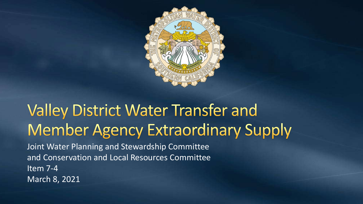

## **Valley District Water Transfer and Member Agency Extraordinary Supply**

Joint Water Planning and Stewardship Committee and Conservation and Local Resources Committee Item 7-4 March 8, 2021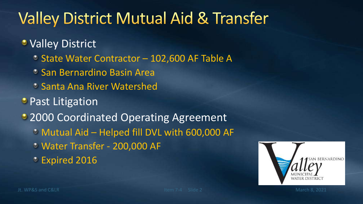# **Valley District Mutual Aid & Transfer**

#### **• Valley District**

- State Water Contractor 102,600 AF Table A
- **San Bernardino Basin Area**
- **Santa Ana River Watershed**
- Past Litigation
- 2000 Coordinated Operating Agreement
	- Mutual Aid Helped fill DVL with 600,000 AF
	- Water Transfer 200,000 AF
	- Expired 2016

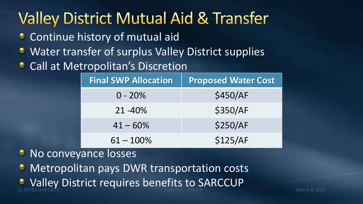## **Valley District Mutual Aid & Transfer**

- Continue history of mutual aid
- Water transfer of surplus Valley District supplies
- Call at Metropolitan's Discretion

| <b>Final SWP Allocation</b> | <b>Proposed Water Cost</b> |
|-----------------------------|----------------------------|
| $0 - 20%$                   | \$450/AF                   |
| $21 - 40\%$                 | \$350/AF                   |
| $41 - 60\%$                 | \$250/AF                   |
| $61 - 100\%$                | \$125/AF                   |

#### No conveyance losses

- Metropolitan pays DWR transportation costs
- Jt. WP&S and C&LR **Item 7-4** Slide 3 March 8, 2021 Valley District requires benefits to SARCCUP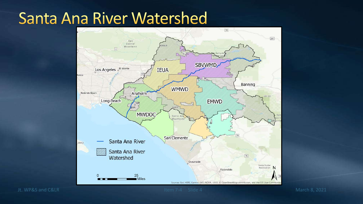#### **Santa Ana River Watershed**

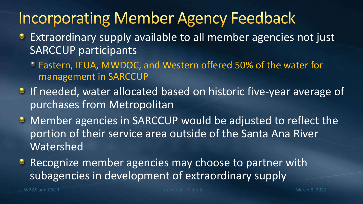#### **Incorporating Member Agency Feedback**

- Extraordinary supply available to all member agencies not just SARCCUP participants
	- Eastern, IEUA, MWDOC, and Western offered 50% of the water for management in SARCCUP
- If needed, water allocated based on historic five-year average of purchases from Metropolitan
- Member agencies in SARCCUP would be adjusted to reflect the portion of their service area outside of the Santa Ana River Watershed
- Recognize member agencies may choose to partner with subagencies in development of extraordinary supply

Jt. WP&S and C&LR March 8, 2021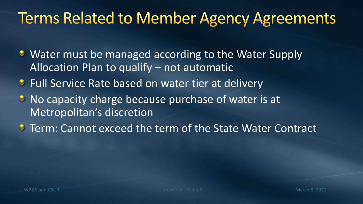#### **Terms Related to Member Agency Agreements**

- Water must be managed according to the Water Supply Allocation Plan to qualify – not automatic
- **Full Service Rate based on water tier at delivery**
- **No capacity charge because purchase of water is at** Metropolitan's discretion
- **Term: Cannot exceed the term of the State Water Contract**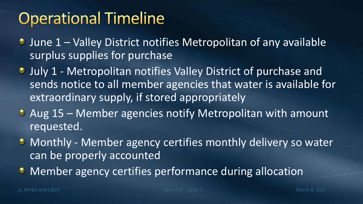## **Operational Timeline**

- June 1 Valley District notifies Metropolitan of any available surplus supplies for purchase
- **July 1 Metropolitan notifies Valley District of purchase and** sends notice to all member agencies that water is available for extraordinary supply, if stored appropriately
- Aug 15 Member agencies notify Metropolitan with amount requested.
- **Monthly Member agency certifies monthly delivery so water** can be properly accounted
- **Member agency certifies performance during allocation**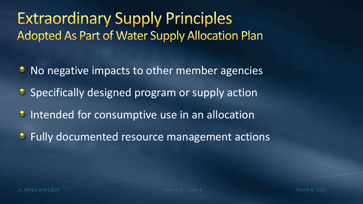**Extraordinary Supply Principles Adopted As Part of Water Supply Allocation Plan** 

- No negative impacts to other member agencies
- **Specifically designed program or supply action**
- **Intended for consumptive use in an allocation**
- **•** Fully documented resource management actions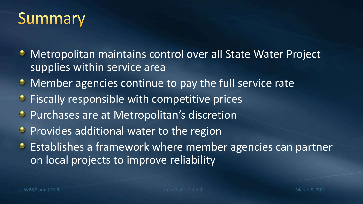### Summary

- Metropolitan maintains control over all State Water Project supplies within service area
- **Member agencies continue to pay the full service rate**
- **•** Fiscally responsible with competitive prices
- **Purchases are at Metropolitan's discretion**
- $\bullet$  Provides additional water to the region
- **•** Establishes a framework where member agencies can partner on local projects to improve reliability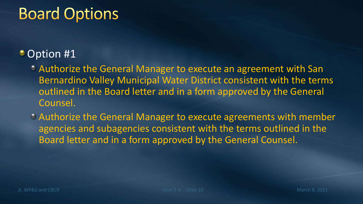### **Board Options**

#### **Option #1**

- Authorize the General Manager to execute an agreement with San Bernardino Valley Municipal Water District consistent with the terms outlined in the Board letter and in a form approved by the General Counsel.
- Authorize the General Manager to execute agreements with member agencies and subagencies consistent with the terms outlined in the Board letter and in a form approved by the General Counsel.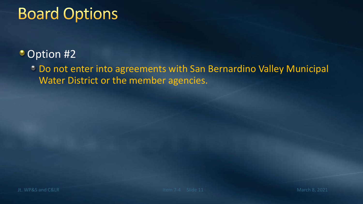### **Board Options**

#### **Option #2**

Do not enter into agreements with San Bernardino Valley Municipal Water District or the member agencies.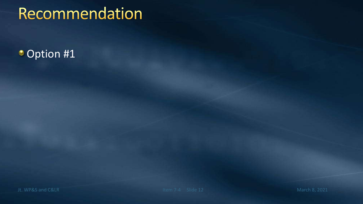## Recommendation

#### **Option #1**